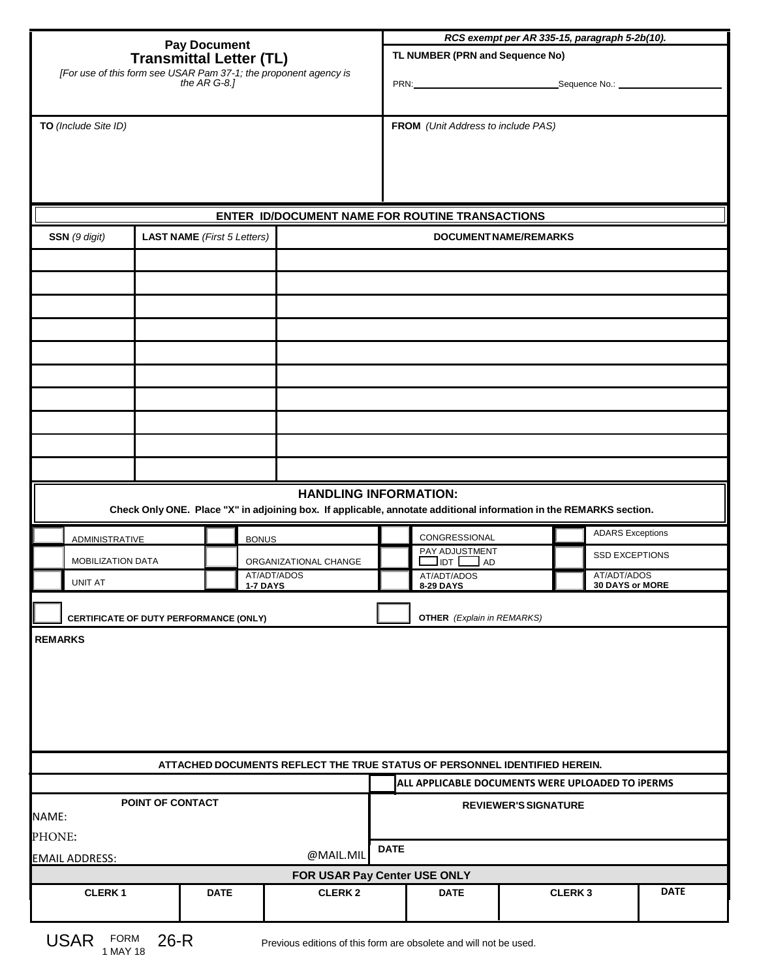| Pay Document<br>Transmittal Letter (TL)<br>[For use of this form see USAR Pam 37-1; the proponent agency is                                        |                                                                                                                                |          |                                    |                                                 | RCS exempt per AR 335-15, paragraph 5-2b(10). |                                                            |               |                         |  |
|----------------------------------------------------------------------------------------------------------------------------------------------------|--------------------------------------------------------------------------------------------------------------------------------|----------|------------------------------------|-------------------------------------------------|-----------------------------------------------|------------------------------------------------------------|---------------|-------------------------|--|
|                                                                                                                                                    |                                                                                                                                |          |                                    |                                                 | TL NUMBER (PRN and Sequence No)               |                                                            |               |                         |  |
|                                                                                                                                                    |                                                                                                                                |          |                                    |                                                 | PRN: Sequence No.:                            |                                                            |               |                         |  |
| the $AR G-8$ .]                                                                                                                                    |                                                                                                                                |          |                                    |                                                 |                                               |                                                            |               |                         |  |
|                                                                                                                                                    | TO (Include Site ID)                                                                                                           |          |                                    |                                                 |                                               | FROM (Unit Address to include PAS)                         |               |                         |  |
|                                                                                                                                                    |                                                                                                                                |          |                                    |                                                 |                                               |                                                            |               |                         |  |
|                                                                                                                                                    |                                                                                                                                |          |                                    |                                                 |                                               |                                                            |               |                         |  |
|                                                                                                                                                    |                                                                                                                                |          |                                    |                                                 |                                               |                                                            |               |                         |  |
|                                                                                                                                                    |                                                                                                                                |          |                                    | ENTER ID/DOCUMENT NAME FOR ROUTINE TRANSACTIONS |                                               |                                                            |               |                         |  |
| SSN (9 digit)                                                                                                                                      |                                                                                                                                |          | <b>LAST NAME</b> (First 5 Letters) |                                                 | DOCUMENT NAME/REMARKS                         |                                                            |               |                         |  |
|                                                                                                                                                    |                                                                                                                                |          |                                    |                                                 |                                               |                                                            |               |                         |  |
|                                                                                                                                                    |                                                                                                                                |          |                                    |                                                 |                                               |                                                            |               |                         |  |
|                                                                                                                                                    |                                                                                                                                |          |                                    |                                                 |                                               |                                                            |               |                         |  |
|                                                                                                                                                    |                                                                                                                                |          |                                    |                                                 |                                               |                                                            |               |                         |  |
|                                                                                                                                                    |                                                                                                                                |          |                                    |                                                 |                                               |                                                            |               |                         |  |
|                                                                                                                                                    |                                                                                                                                |          |                                    |                                                 |                                               |                                                            |               |                         |  |
|                                                                                                                                                    |                                                                                                                                |          |                                    |                                                 |                                               |                                                            |               |                         |  |
|                                                                                                                                                    |                                                                                                                                |          |                                    |                                                 |                                               |                                                            |               |                         |  |
|                                                                                                                                                    |                                                                                                                                |          |                                    |                                                 |                                               |                                                            |               |                         |  |
|                                                                                                                                                    |                                                                                                                                |          |                                    |                                                 |                                               |                                                            |               |                         |  |
| <b>HANDLING INFORMATION:</b><br>Check Only ONE. Place "X" in adjoining box. If applicable, annotate additional information in the REMARKS section. |                                                                                                                                |          |                                    |                                                 |                                               |                                                            |               |                         |  |
|                                                                                                                                                    | <b>ADMINISTRATIVE</b>                                                                                                          |          |                                    | <b>BONUS</b>                                    |                                               | CONGRESSIONAL                                              |               | <b>ADARS Exceptions</b> |  |
|                                                                                                                                                    | MOBILIZATION DATA                                                                                                              |          |                                    | ORGANIZATIONAL CHANGE                           |                                               | PAY ADJUSTMENT<br>$\Box$ idt $\Box$ ad                     |               | <b>SSD EXCEPTIONS</b>   |  |
|                                                                                                                                                    | <b>UNIT AT</b>                                                                                                                 |          |                                    | AT/ADT/ADOS<br><b>1-7 DAYS</b>                  |                                               | AT/ADT/ADOS<br>AT/ADT/ADOS<br>30 DAYS or MORE<br>8-29 DAYS |               |                         |  |
|                                                                                                                                                    | CERTIFICATE OF DUTY PERFORMANCE (ONLY)                                                                                         |          |                                    |                                                 |                                               | <b>OTHER</b> (Explain in REMARKS)                          |               |                         |  |
|                                                                                                                                                    | <b>REMARKS</b>                                                                                                                 |          |                                    |                                                 |                                               |                                                            |               |                         |  |
|                                                                                                                                                    |                                                                                                                                |          |                                    |                                                 |                                               |                                                            |               |                         |  |
|                                                                                                                                                    |                                                                                                                                |          |                                    |                                                 |                                               |                                                            |               |                         |  |
|                                                                                                                                                    |                                                                                                                                |          |                                    |                                                 |                                               |                                                            |               |                         |  |
|                                                                                                                                                    |                                                                                                                                |          |                                    |                                                 |                                               |                                                            |               |                         |  |
|                                                                                                                                                    |                                                                                                                                |          |                                    |                                                 |                                               |                                                            |               |                         |  |
|                                                                                                                                                    | ATTACHED DOCUMENTS REFLECT THE TRUE STATUS OF PERSONNEL IDENTIFIED HEREIN.<br>ALL APPLICABLE DOCUMENTS WERE UPLOADED TO IPERMS |          |                                    |                                                 |                                               |                                                            |               |                         |  |
|                                                                                                                                                    | POINT OF CONTACT                                                                                                               |          |                                    |                                                 |                                               | <b>REVIEWER'S SIGNATURE</b>                                |               |                         |  |
| NAME:                                                                                                                                              |                                                                                                                                |          |                                    |                                                 |                                               |                                                            |               |                         |  |
|                                                                                                                                                    | PHONE:<br>@MAIL.MIL                                                                                                            |          |                                    |                                                 |                                               |                                                            |               |                         |  |
| <b>EMAIL ADDRESS:</b><br>FOR USAR Pay Center USE ONLY                                                                                              |                                                                                                                                |          |                                    |                                                 |                                               |                                                            |               |                         |  |
|                                                                                                                                                    | <b>CLERK1</b>                                                                                                                  |          | <b>DATE</b>                        | <b>CLERK2</b>                                   |                                               | <b>DATE</b>                                                | <b>CLERK3</b> | <b>DATE</b>             |  |
|                                                                                                                                                    |                                                                                                                                |          |                                    |                                                 |                                               |                                                            |               |                         |  |
|                                                                                                                                                    | IIOAD EOPM                                                                                                                     | $\Omega$ |                                    |                                                 |                                               |                                                            |               |                         |  |